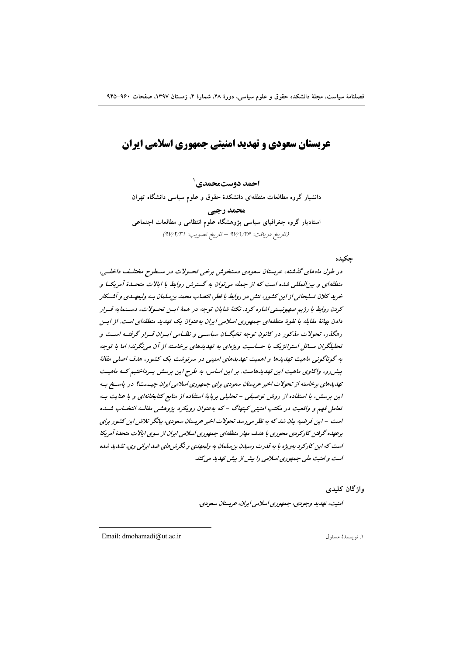# عربستان سعودی و تهدید امنیتی جمهوری اسلامی ایران

احمد دوستمحمدي`

دانشیار گروه مطالعات منطقهای دانشکدهٔ حقوق و علوم سیاسی دانشگاه تهران

محمد رجبي استادیار گروه جغرافیای سیاسی پژوهشگاه علوم انتظامی و مطالعات اجتماعی (تاريخ دريافت: ٩٧/١/٢۶ - تاريخ تصويب: ٩٧/٢/٣١)

حكىدە

در طول ماههای گذشته، عربستان سعودی دستخوش برخی تحسولات در سیطوح مختلیف داخلیه، منطقهای و بین المللی شده است که از جمله می توان به گسترش روابط با ایالات متحـدهٔ آمریکــا و خرید کلان تسلیحاتی از این کشور، تنش در روابط با قطر، انتصاب محمد بن سلمان بـه ولیعهـدی و آشــکار كردن روابط با رژیم صهیونیستی اشاره كرد. نكتهٔ شاپان توجه در همهٔ ایس تحسولات، دستمایه قسرار دادن بهانهٔ مقابله با نفوذ منطقهای جمهوری اسلامی ایران به عنوان یک تهدید منطقهای است. از ایسن رهگذر، تحولات مذکور در کانون توجه نخبگـان سیاسـی و نظـامی ایـران قـرار گرفتـه اسـت و تحلیلگران مسائل استراتژیک با حساسیت ویژهای به تهدیدهای برخاسته از آن می نگرند؛ اما با توجه به گوناگونی ماهیت تهدیدها و اهمیت تهدیدهای امنیتی در سرنوشت یک کشور، هدف اصلی مقالهٔ پیش رو، واکاوی ماهیت این تهدیدهاست. بر این اساس، به طرح این پرسش پیرداختیم کـه ماهیـت تهدیدهای برخاسته از تحولات اخیر عربستان سعودی برای جمهوری اسلامی ایران چیست؟ در پاسخ به این پرسش، با استفاده از روش توصیفی - تحلیلی برپایهٔ استفاده از منابع کتابخانهای و با عنایت به تعامل فهم و واقعیت در مکتب امنیتی کینهاگ - که بهعنوان رویکرد پژوهشی مقالبه انتخباب شب است – این فرضیه بیان شد که به نظر می رسد تحولات اخیر عربستان سعودی، بیانگر تلاش این کشور برای برعهده گرفتن کارکردی محوری با هلف مهار منطقهای جمهوری اسلامی ایران از سوی ایالات متحدهٔ آمریکا است که این کارکرد بهویژه با به قدرت رسیدن بن سلمان به ولیعهدی و نگرش های ضد ایرانی وی، تشدید شده است و امنیت ملی جمهوری اسلامی را بیش از پیش تهدید می کند.

واژگان کلیدی

امنیت، تهدید وجودی، جمهوری اسلامی ایران، عربستان سعودی.

Email: dmohamadi@ut.ac.ir

١. نويسندة مسئول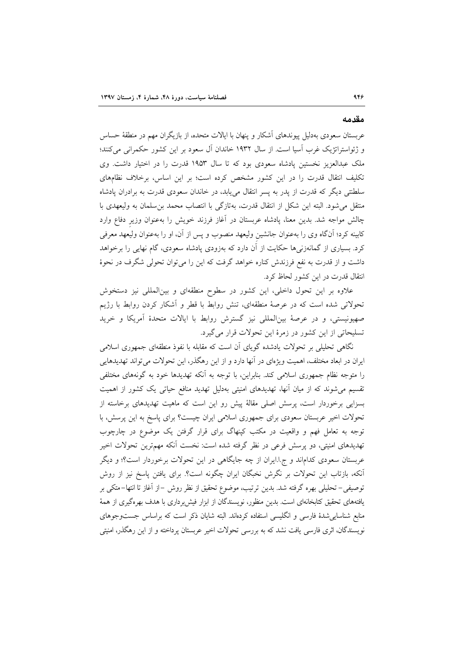#### مقدمه

عربستان سعودی بهدلیل پیوندهای آشکار و پنهان با ایالات متحده، از بازیگران مهم در منطقهٔ حساس و ژئواستراتژیک غرب آسیا است. از سال ۱۹۳۲ خاندان آل سعود بر این کشور حکمرانی میکنند؛ ملک عبدالعزیز نخستین پادشاه سعودی بود که تا سال ۱۹۵۳ قدرت را در اختیار داشت. وی تکلیف انتقال قدرت را در این کشور مشخص کرده است؛ بر این اساس، برخلاف نظامهای سلطنتی دیگر که قدرت از پدر به پسر انتقال مییابد، در خاندان سعودی قدرت به برادران پادشاه منتقل می شود. البته این شکل از انتقال قدرت، بهتازگی با انتصاب محمد بن سلمان به ولیعهدی با چالش مواجه شد. بدین معنا، یادشاه عربستان در آغاز فرزند خویش را بهعنوان وزیر دفاع وارد کابینه کرد؛ آنگاه وی را بهعنوان جانشین ولیعهد منصوب و پس از آن، او را بهعنوان ولیعهد معرفی کرد. بسیاری از گمانهزنیها حکایت از آن دارد که بهزودی پادشاه سعودی، گام نهایی را برخواهد داشت و از قدرت به نفع فرزندش کناره خواهد گرفت که این را می توان تحولی شگرف در نحوهٔ انتقال قدرت در این کشور لحاظ کرد.

علاوه بر این تحول داخلی، این کشور در سطوح منطقهای و بینالمللی نیز دستخوش تحولاتی شده است که در عرصهٔ منطقهای، تنش روابط با قطر و آشکار کردن روابط با رژیم صهیونیستی، و در عرصهٔ بینالمللی نیز گسترش روابط با ایالات متحدهٔ آمریکا و خرید تسليحاتي از اين كشور در زمرهٔ اين تحولات قرار مي گيرد.

نگاهی تحلیلی بر تحولات یادشده گوپای آن است که مقابله با نفوذ منطقهای جمهوری اسلامی ایران در ابعاد مختلف، اهمیت ویژهای در آنها دارد و از این رهگذر، این تحولات میتواند تهدیدهایی را متوجه نظام جمهوری اسلامی کند. بنابراین، با توجه به آنکه تهدیدها خود به گونههای مختلفی تقسیم می شوند که از میان آنها، تهدیدهای امنیتی بهدلیل تهدید منافع حیاتی یک کشور از اهمیت بسزایی برخوردار است، پرسش اصلی مقالهٔ پیش رو این است که ماهیت تهدیدهای برخاسته از تحولات اخیر عربستان سعودی برای جمهوری اسلامی ایران چیست؟ برای پاسخ به این پرسش، با توجه به تعامل فهم و واقعیت در مکتب کینهاگ برای قرار گرفتن یک موضوع در چارچوب تهدیدهای امنیتی، دو پرسش فرعی در نظر گرفته شده است: نخست آنکه مهمترین تحولات اخیر عربستان سعودی کداماند و ج! ایران از چه جایگاهی در این تحولات برخوردار است؟؛ و دیگر آنکه، بازتاب این تحولات بر نگرش نخبگان ایران چگونه است؟. برای یافتن پاسخ نیز از روش توصیفی– تحلیلی بهره گرفته شد. بدین ترتیب، موضوع تحقیق از نظر روش –از آغاز تا انتها–متکی بر یافتههای تحقیق کتابخانهای است. بدین منظور، نویسندگان از ابزار فیش برداری با هدف بهرهگیری از همهٔ منابع شناسایی شدهٔ فارسی و انگلیسی استفاده کردهاند. البته شایان ذکر است که براساس جستوجوهای نویسندگان، اثری فارسی یافت نشد که به بررسی تحولات اخیر عربستان پرداخته و از این رهگذر، امنیتی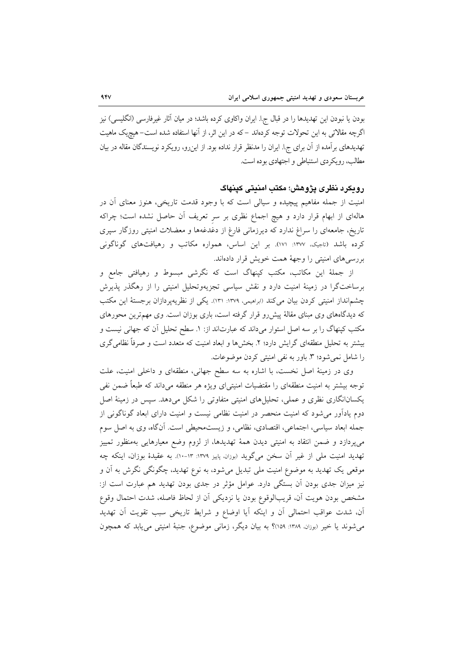بودن یا نبودن این تهدیدها را در قبال ج!. ایران واکاوی کرده باشد؛ در میان آثار غیرفارسی (انگلیسی) نیز اگرچه مقالاتی به این تحولات توجه کردهاند –که در این اثر، از آنها استفاده شده است–هیچیک ماهیت تهدیدهای برآمده از آن برای ج!. ایران را مدنظر قرار نداده بود. از این٫و، رویکرد نویسندگان مقاله در بیان مطالب، رو یکردی استنباطی و اجتهادی بوده است.

### رويكرد نظرى يژوهش؛ مكتب امنيتي كينهاگ

امنیت از جمله مفاهیم پیچیده و سیالی است که با وجود قدمت تاریخی، هنوز معنای آن در هالهای از ابهام قرار دارد و هیچ اجماع نظری بر سر تعریف آن حاصل نشده است؛ چراکه تاریخ، جامعهای را سراغ ندارد که دیرزمانی فارغ از دغدغهها و معضلات امنیتی روزگار سپری کرده باشد (تاجیک، ۱۳۷۷: ۱۷۱). بر این اساس، همواره مکاتب و رهیافتهای گوناگونی بررسی های امنیتی را وجههٔ همت خویش قرار دادهاند.

از جملهٔ این مکاتب، مکتب کینهاگ است که نگرشی مبسوط و رهیافتی جامع و برساختگرا در زمینهٔ امنیت دارد و نقش سیاسی تجزیهوتحلیل امنیتی را از رهگذر پذیرش چشم|نداز امنیتی کردن بیان میکند (ابراهیمی، ۱۳۷۹: ۱۳۱). یکی از نظریهپردازان برجستهٔ این مکتب که دیدگاههای وی مبنای مقالهٔ پیش رو قرار گرفته است، باری بوزان است. وی مهمترین محورهای مکتب کینهاگ را بر سه اصل استوار میداند که عبارتاند از: ۱. سطح تحلیل آن که جهانی نیست و بیشتر به تحلیل منطقهای گرایش دارد؛ ۲. بخشها و ابعاد امنیت که متعدد است و صرفاً نظامی گری را شامل نمی شود؛ ۳. باور به نفی امنیتی کردن موضوعات.

وی در زمینهٔ اصل نخست، با اشاره به سه سطح جهانی، منطقهای و داخلی امنیت، علت توجه بیشتر به امنیت منطقهای را مقتضیات امنیتی|ی ویژه هر منطقه میداند که طبعاً ضمن نفی یکسانانگاری نظری و عملی، تحلیلهای امنیتی متفاوتی را شکل میدهد. سپس در زمینهٔ اصل دوم یادآور می شود که امنیت منحصر در امنیت نظامی نیست و امنیت دارای ابعاد گوناگونی از جمله ابعاد سیاسی، اجتماعی، اقتصادی، نظامی، و زیستمحیطی است. آنگاه، وی به اصل سوم میپردازد و ضمن انتقاد به امنیتی دیدن همهٔ تهدیدها، از لزوم وضع معیارهایی بهمنظور تمییز تهدید امنیت ملی از غیر آن سخن میگوید (بوزان، پاییز ۱۳۷۹: ۱۳-۱۰). به عقیدهٔ بوزان، اینکه چه موقعی یک تهدید به موضوع امنیت ملی تبدیل میشود، به نوع تهدید، چگونگی نگرش به آن و نیز میزان جدی بودن آن بستگی دارد. عوامل مؤثر در جدی بودن تهدید هم عبارت است از: مشخص بودن هويت آن، قريبالوقوع بودن يا نزديكي آن از لحاظ فاصله، شدت احتمال وقوع آن، شدت عواقب احتمالي آن و اينكه آيا اوضاع و شرايط تاريخي سبب تقويت آن تهديد می شوند یا خیر (بوزان. ۱۳۸۹: ۱۵۹٪ به بیان دیگر، زمانی موضوع، جنبهٔ امنیتی می یابد که همچون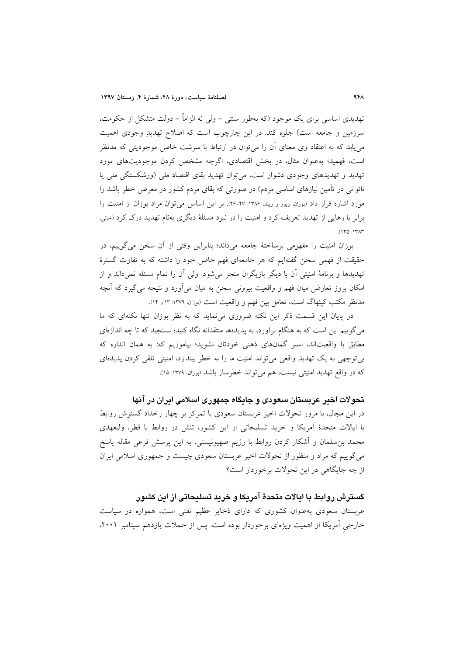تهدیدی اساسی برای یک موجود (که بهطور سنتی –ولی نه الزاماً – دولت متشکل از حکومت، سرزمین و جامعه است) جلوه کند. در این چارچوب است که اصلاح تهدید وجودی اهمیت می یابد که به اعتقاد وی معنای آن را می توان در ارتباط با سرشت خاص موجودیتی که مدنظر است، فهمید؛ بهعنوان مثال، در بخش اقتصادی، اگرچه مشخص کردن موجودیتهای مورد تهدید و تهدیدهای وجودی دشوار است، می توان تهدید بقای اقتصاد ملی (ورشکستگی ملی یا ناتوانی در تأمین نیازهای اساسی مردم) در صورتی که بقای مردم کشور در معرض خطر باشد را مورد اشاره قرار داد (بوزان، ویور و ویلد، ۱۳۸۶: ۴۷-۴۶). بر این اساس می توان مراد بوزان از امنیت را برابر با رهایی از تهدید تعریف کرد و امنیت را در نبود مسئلهٔ دیگری بهنام تهدید درک کرد (حانی،  $(150.157)$ 

بوزان امنیت را مفهومی برساختهٔ جامعه میداند؛ بنابراین وقتی از آن سخن می گوییم، در حقیقت از فهمی سخن گفتهایم که هر جامعهای فهم خاص خود را داشته که به تفاوت گسترهٔ تهدیدها و برنامهٔ امنیتی آن با دیگر بازیگران منجر میشود. ولی آن را تمام مسئله نمیداند و از امکان بروز تعارض میان فهم و واقعیت بیرونی سخن به میان می[ورد و نتیجه میگیرد که آنچه مدنظر مکتب کینهاگ است، تعامل بین فهم و واقعیت است (بوزان، ۱۳۷۹: ۱۳ و ۱۴).

در یایان این قسمت ذکر این نکته ضروری می نماید که به نظر بوزان تنها نکتهای که ما می گوییم این است که به هنگام برآورد، به پدیدهها منتقدانه نگاه کنید؛ بسنجید که تا چه اندازهای مطابق با واقعیتاند، اسیر گمانهای ذهنی خودتان نشوید؛ بیاموزیم که: به همان اندازه که بی توجهی به یک تهدید واقعی می تواند امنیت ما را به خطر بیندازد، امنیتی تلقی کردن پدیدهای که در واقع تهدید امنیتی نیست، هم می تواند خطرساز باشد (بوزان. ۱۳۷۹: ۱۵).

تحو لات اخير عربستان سعودي و حايگاه جمهوري اسلامي ايران در آنها در این مجال، با مرور تحولات اخیر عربستان سعودی با تمرکز بر چهار رخداد گسترش روابط با ایالات متحدهٔ اَمریکا و خرید تسلیحاتی از این کشور، تنش در روابط با قطر، ولیعهدی محمد بن سلمان و آشکار کردن روابط با رژیم صهیونیستی، به این پرسش فرعی مقاله پاسخ می گوییم که مراد و منظور از تحولات اخیر عربستان سعودی چیست و جمهوری اسلامی ایران از چه جایگاهی در این تحولات برخوردار است؟

کسترش روابط با ایالات متحدهٔ آمریکا و خرید تسلیحاتی از این کشور عربستان سعودی بهعنوان کشوری که دارای ذخایر عظیم نفتی است، همواره در سیاست خارجی آمریکا از اهمیت ویژهای برخوردار بوده است. پس از حملات یازدهم سپتامبر ۲۰۰۱،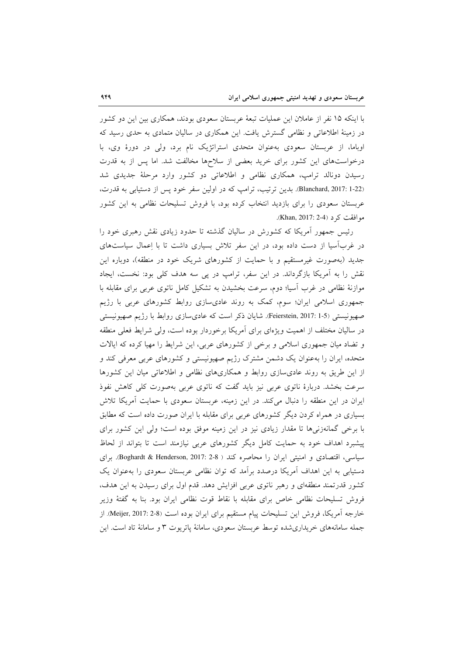با اینکه ۱۵ نفر از عاملان این عملیات تبعهٔ عربستان سعودی بودند، همکاری بین این دو کشور در زمینهٔ اطلاعاتی و نظامی گسترش یافت. این همکاری در سالیان متمادی به حدی رسید که اوباما، از عربستان سعودی به عنوان متحدی استراتژیک نام برد، ولی در دورهٔ وی، با درخواستهای این کشور برای خرید بعضی از سلاحها مخالفت شد. اما پس از به قدرت رسیدن دونالد ترامپ، همکاری نظامی و اطلاعاتی دو کشور وارد مرحلهٔ جدیدی شد Blanchard, 2017: 1-22). بدین ترتیب، ترامپ که در اولین سفر خود پس از دستیابی به قدرت، عربستان سعودی را برای بازدید انتخاب کرده بود، با فروش تسلیحات نظامی به این کشور موافقت کر د (Khan, 2017: 2-4).

رئیس جمهور اَمریکا که کشورش در سالیان گذشته تا حدود زیادی نقش رهبری خود را در غربآسیا از دست داده بود، در این سفر تلاش بسیاری داشت تا با اِعمال سیاستهای جدید (بهصورت غیرمستقیم و با حمایت از کشورهای شریک خود در منطقه)، دوباره این نقش را به آمریکا بازگرداند. در این سفر، ترامپ در پی سه هدف کلی بود: نخست، ایجاد موازنهٔ نظامی در غرب آسیا؛ دوم، سرعت بخشیدن به تشکیل کامل ناتوی عربی برای مقابله با جمهوری اسلامی ایران؛ سوم، کمک به روند عادیسازی روابط کشورهای عربی با رژیم صهیونیستی (Feierstein, 2017: 1-5). شایان ذکر است که عادی سازی روابط با رژیم صهیونیستی در سالیان مختلف از اهمیت ویژهای برای اَمریکا برخوردار بوده است، ولی شرایط فعلی منطقه و تضاد میان جمهوری اسلامی و برخی از کشورهای عربی، این شرایط را مهیا کرده که ایالات متحده، ایران را به عنوان یک دشمن مشترک رژیم صهیونیستی و کشورهای عربی معرفی کند و از این طریق به روند عادی سازی روابط و همکاریهای نظامی و اطلاعاتی میان این کشورها سرعت بخشد. دربارهٔ ناتوی عربی نیز باید گفت که ناتوی عربی بهصورت کلی کاهش نفوذ ایران در این منطقه را دنبال میکند. در این زمینه، عربستان سعودی با حمایت آمریکا تلاش بسیاری در همراه کردن دیگر کشورهای عربی برای مقابله با ایران صورت داده است که مطابق با برخی گمانهزنیها تا مقدار زیادی نیز در این زمینه موفق بوده است؛ ولی این کشور برای پیشبرد اهداف خود به حمایت کامل دیگر کشورهای عربی نیازمند است تا بتواند از لحاظ سیاسی، اقتصادی و امنیتی ایران را محاصره کند ( Boghardt & Henderson, 2017: 2-8). برای دستیابی به این اهداف آمریکا درصدد برآمد که توان نظامی عربستان سعودی را بهعنوان یک کشور قدرتمند منطقهای و رهبر ناتوی عربی افزایش دهد. قدم اول برای رسیدن به این هدف، فروش تسليحات نظامي خاص براي مقابله با نقاط قوت نظامي ايران بود. بنا به گفتهٔ وزير خارجه أمريكا، فروش اين تسليحات پيام مستقيم براي ايران بوده است (Meijer, 2017: 2-8). از جمله سامانههای خریداری شده توسط عربستان سعودی، سامانهٔ پاتریوت ۳ و سامانهٔ تاد است. این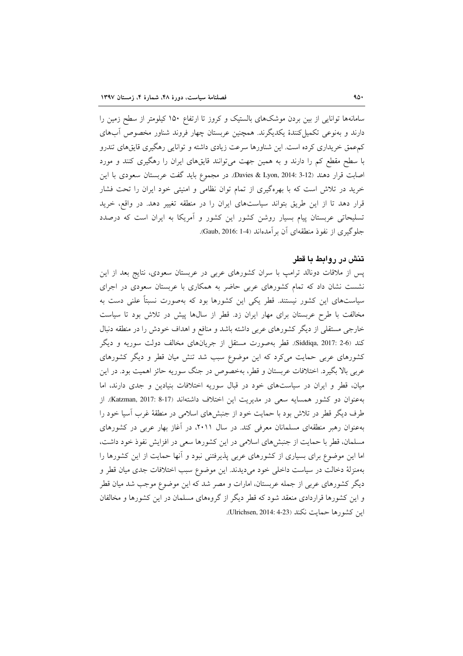سامانهها توانایی از بین بردن موشکهای بالستیک و کروز تا ارتفاع ۱۵۰ کیلومتر از سطح زمین را دارند و بەنوعی تکمیل کنندهٔ یکدیگرند. همچنین عربستان چهار فروند شناور مخصوص آبهای کم،عمق خریداری کرده است. این شناورها سرعت زیادی داشته و توانایی رهگیری قایقهای تندرو با سطح مقطع کم را دارند و به همین جهت میتوانند قایقهای ایران را رهگیری کنند و مورد اصابت قرار دهند (Davies & Lyon, 2014: 3-12). در مجموع بايد گفت عربستان سعودي با اين خرید در تلاش است که با بهرهگیری از تمام توان نظامی و امنیتی خود ایران را تحت فشار قرار دهد تا از این طریق بتواند سیاستهای ایران را در منطقه تغییر دهد. در واقع، خرید تسلیحاتی عربستان پیام بسیار روشن کشور این کشور و آمریکا به ایران است که درصدد جلوگیری از نفوذ منطقهای آن بر آمدهاند (Gaub, 2016: 1-4).

## تنش در روابط با قطر

پس از ملاقات دونالد ترامپ با سران کشورهای عربی در عربستان سعودی، نتایج بعد از این نشست نشان داد که تمام کشورهای عربی حاضر به همکاری با عربستان سعودی در اجرای سیاستهای این کشور نیستند. قطر یکی این کشورها بود که بهصورت نسبتاً علنی دست به مخالفت با طرح عربستان برای مهار ایران زد. قطر از سالها پیش در تلاش بود تا سیاست خارجی مستقلی از دیگر کشورهای عربی داشته باشد و منافع و اهداف خودش را در منطقه دنبال کند (Siddiqa, 2017: 2-6. قطر بهصورت مستقل از جریانهای مخالف دولت سوریه و دیگر کشورهای عربی حمایت میکرد که این موضوع سبب شد تنش میان قطر و دیگر کشورهای عربی بالا بگیرد. اختلافات عربستان و قطر، بهخصوص در جنگ سوریه حائز اهمیت بود. در این میان، قطر و ایران در سیاستهای خود در قبال سوریه اختلافات بنیادین و جدی دارند، اما بهعنوان دو كشور همسايه سعى در مديريت اين اختلاف داشتهاند (Katzman, 2017: 8-17). از طرف دیگر قطر در تلاش بود با حمایت خود از جنبشهای اسلامی در منطقهٔ غرب آسیا خود را بهعنوان رهبر منطقهای مسلمانان معرفی کند. در سال ۲۰۱۱، در آغاز بهار عربی در کشورهای مسلمان، قطر با حمایت از جنبشهای اسلامی در این کشورها سعی در افزایش نفوذ خود داشت، اما این موضوع برای بسیاری از کشورهای عربی پذیرفتنی نبود و آنها حمایت از این کشورها را بهمنزلهٔ دخالت در سیاست داخلی خود میدیدند. این موضوع سبب اختلافات جدی میان قطر و دیگر کشورهای عربی از جمله عربستان، امارات و مصر شد که این موضوع موجب شد میان قطر و این کشورها قراردادی منعقد شود که قطر دیگر از گروههای مسلمان در این کشورها و مخالفان اين كشورها حمايت نكند (Ulrichsen, 2014: 4-23).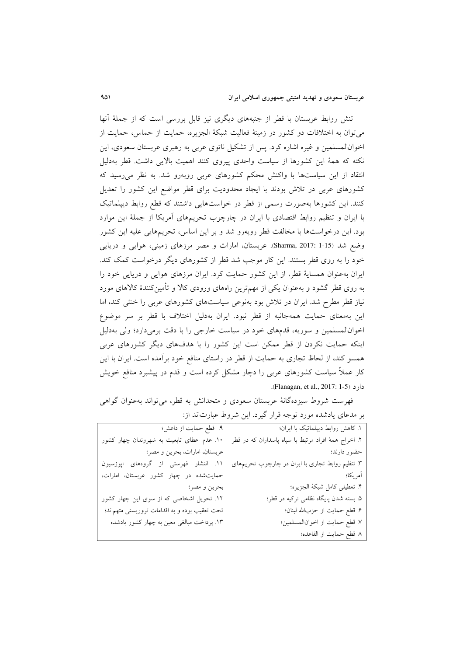تنش روابط عربستان با قطر از جنبههای دیگری نیز قابل بررسی است که از جملهٔ آنها می توان به اختلافات دو کشور در زمینهٔ فعالیت شبکهٔ الجزیره، حمایت از حماس، حمایت از اخوانالمسلمین و غیره اشاره کرد. پس از تشکیل ناتوی عربی به رهبری عربستان سعودی، این نکته که همهٔ این کشورها از سیاست واحدی پیروی کنند اهمیت بالایی داشت. قطر بهدلیل انتقاد از این سیاستها با واکنش محکم کشورهای عربی روبهرو شد. به نظر می رسید که کشورهای عربی در تلاش بودند با ایجاد محدودیت برای قطر مواضع این کشور را تعدیل کنند. این کشورها بهصورت رسمی از قطر در خواستهایی داشتند که قطع روابط دیپلماتیک با ایران و تنظیم روابط اقتصادی با ایران در چارچوب تحریمهای آمریکا از جملهٔ این موارد بود. این درخواستها با مخالفت قطر روبهرو شد و بر این اساس، تحریمهایی علیه این کشور وضع شد (Sharma, 2017: 1-15). عربستان، امارات و مصر مرزهای زمینی، هوایی و دریایی خود را به روی قطر بستند. این کار موجب شد قطر از کشورهای دیگر درخواست کمک کند. ایران بهعنوان همسایهٔ قطر، از این کشور حمایت کرد. ایران مرزهای هوایی و دریایی خود را به روی قطر گشود و بهعنوان یکی از مهمترین راههای ورودی کالا و تأمینکنندهٔ کالاهای مورد نیاز قطر مطرح شد. ایران در تلاش بود بهنوعی سیاستهای کشورهای عربی را خشی کند، اما این بهمعنای حمایت همهجانبه از قطر نبود. ایران بهدلیل اختلاف با قطر بر سر موضوع اخوانالمسلمین و سوریه، قدمهای خود در سیاست خارجی را با دقت برمیدارد؛ ولی بهدلیل اینکه حمایت نکردن از قطر ممکن است این کشور را با هدفهای دیگر کشورهای عربی همسو کند، از لحاظ تجاری به حمایت از قطر در راستای منافع خود برآمده است. ایران با این کار عملاً سیاست کشورهای عربی را دچار مشکل کرده است و قدم در پیشبرد منافع خویش دارد (Flanagan, et al., 2017: 1-5).

فهرست شروط سیزدهگانهٔ عربستان سعودی و متحدانش به قطر، می تواند بهعنوان گواهی بر مدعای یادشده مورد توجه قرار گیرد. این شروط عبارتاند از:

| ۱. کاهش روابط دیپلماتیک با ایران؛                    | ۹. قطع حمایت از داعش؛                         |
|------------------------------------------------------|-----------------------------------------------|
| ۲. اخراج همهٔ افراد مرتبط با سپاه پاسداران که در قطر | ۱۰. عدم اعطای تابعیت به شهروندان چهار کشور    |
| حضور دارند؛                                          | عربستان، امارات، بحرين و مصر؛                 |
| ۳. تنظیم روابط تجاری با ایران در چارچوب تحریمهای     | ۱۱. انتشار فهرستی از گروههای اپوزسیون         |
| آمريكا؛                                              | حمایت شده در چهار کشور عربستان، امارات،       |
| ۴. تعطیلی کامل شبکهٔ الجزیره؛                        | بحرين و مصر؛                                  |
| ۵. بسته شدن پایگاه نظامی ترکیه در قطر؛               | ۱۲. تحویل اشخاصی که از سوی این چهار کشور      |
| ۶. قطع حمايت از حزبالله لبنان؛                       | تحت تعقیب بوده و به اقدامات تروریستی متهماند؛ |
| ٧. قطع حمايت از اخوانالمسلمين؛                       | ۱۳. پرداخت مبالغی معین به چهار کشور یادشده    |
| ٨. قطع حمايت از القاعده؛                             |                                               |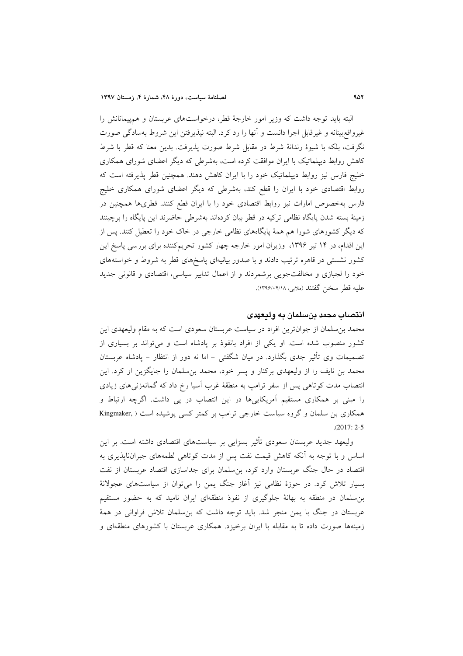البته باید توجه داشت که وزیر امور خارجهٔ قطر، درخواستهای عربستان و همهیمانانش را غيرواقع بينانه و غير قابل اجرا دانست و أنها را رد كرد. البته نيذير فتن اين شروط بهسادگي صورت نگرفت، بلکه با شیوهٔ رندانهٔ شرط در مقابل شرط صورت پذیرفت. بدین معنا که قطر با شرط کاهش روابط دیپلماتیک با ایران موافقت کرده است، بهشرطی که دیگر اعضای شورای همکاری خليج فارس نيز روابط ديپلماتيک خود را با ايران كاهش دهند. همچنين قطر پذيرفته است كه روابط اقتصادی خود با ایران را قطع کند، بهشرطی که دیگر اعضای شورای همکاری خلیج فارس بهخصوص امارات نیز روابط اقتصادی خود را با ایران قطع کنند. قطریها همچنین در زمینهٔ بسته شدن پایگاه نظامی ترکیه در قطر بیان کردهاند بهشرطی حاضرند این پایگاه را برچینند که دیگر کشورهای شورا هم همهٔ پایگاههای نظامی خارجی در خاک خود را تعطیل کنند. پس از این اقدام، در ۱۴ تیر ۱۳۹۶، وزیران امور خارجه چهار کشور تحریمکننده برای بررسی پاسخ این کشور نشستی در قاهره ترتیب دادند و با صدور بیانیهای پاسخهای قطر به شروط و خواستههای خود را لجبازی و مخالفتجویی برشمردند و از اعمال تدابیر سیاسی، اقتصادی و قانونی جدید عليه قطر سخن گفتند (ملايي، ١٣٩۶/٠۴/١٨).

#### انتصاب محمد بنسلمان به وليعهدى

محمد بن سلمان از جوانترین افراد در سیاست عربستان سعودی است که به مقام ولیعهدی این کشور منصوب شده است. او یکی از افراد بانفوذ بر پادشاه است و میتواند بر بسیاری از تصمیمات وی تأثیر جدی بگذارد. در میان شگفتی – اما نه دور از انتظار – پادشاه عربستان محمد بن نایف را از ولیعهدی برکنار و پسر خود، محمد بن سلمان را جایگزین او کرد. این انتصاب مدت کوتاهی پس از سفر ترامپ به منطقهٔ غرب آسیا رخ داد که گمانهزنی۵ای زیادی را مبنی بر همکاری مستقیم آمریکاییها در این انتصاب در پی داشت. اگرچه ارتباط و همکاری بن سلمان و گروه سیاست خارجی ترامب بر کمتر کسی پوشیده است ( ,Kingmaker  $.2017:2-5$ 

ولیعهد جدید عربستان سعودی تأثیر بسزایی بر سیاستهای اقتصادی داشته است. بر این اساس و با توجه به آنکه کاهش قیمت نفت پس از مدت کوتاهی لطمههای جبران،ناپذیری به اقتصاد در حال جنگ عربستان وارد کرد، بن سلمان برای جداسازی اقتصاد عربستان از نفت بسیار تلاش کرد. در حوزهٔ نظامی نیز آغاز جنگ یمن را می توان از سیاستهای عجولانهٔ بن سلمان در منطقه به بهانهٔ جلوگیری از نفوذ منطقهای ایران نامید که به حضور مستقیم عربستان در جنگ با یمن منجر شد. باید توجه داشت که بن سلمان تلاش فراوانی در همهٔ زمینهها صورت داده تا به مقابله با ایران برخیزد. همکاری عربستان با کشورهای منطقهای و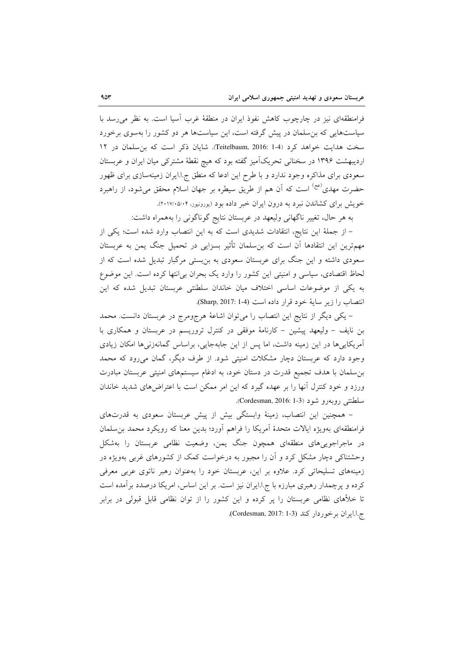فرامنطقهای نیز در چارچوب کاهش نفوذ ایران در منطقهٔ غرب آسیا است. به نظر می رسد با سیاستهایی که بن سلمان در پیش گرفته است، این سیاستها هر دو کشور را بهسوی برخورد سخت هدایت خواهد کرد (Teitelbaum, 2016: 1-4). شایان ذکر است که بن سلمان در ١٢ اردیبهشت ۱۳۹۶ در سخنانی تحریکآمیز گفته بود که هیچ نقطهٔ مشترکی میان ایران و عربستان سعودی برای مذاکره وجود ندارد و با طرح این ادعا که منطق ج.ا.ایران زمینهسازی برای ظهور حضرت مهدی<sup>(عج)</sup> است که آن هم از طریق سیطره بر جهان اسلام محقق می شود، از راهبرد خویش برای کشاندن نبرد به درون ایران خبر داده بود (یورونیوز، ۲۰۱۷/۰۵/۰۴).

به هر حال، تغییر ناگهانی ولیعهد در عربستان نتایج گوناگونی را بههمراه داشت:

– از جملهٔ این نتایج، انتقادات شدیدی است که به این انتصاب وارد شده است؛ یکی از مهمترین این انتقادها آن است که بن سلمان تأثیر بسزایی در تحمیل جنگ یمن به عربستان سعودی داشته و این جنگ برای عربستان سعودی به بنبستی مرگبار تبدیل شده است که از لحاظ اقتصادی، سیاسی و امنیتی این کشور را وارد یک بحران بی(نتها کرده است. این موضوع به یکی از موضوعات اساسی اختلاف میان خاندان سلطنتی عربستان تبدیل شده که این انتصاب را زير ساية خود قرار داده است (Sharp, 2017: 1-4).

– یکی دیگر از نتایج این انتصاب را میتوان اشاعهٔ هرجومرج در عربستان دانست. محمد بن نایف – ولیعهد پیشین – کارنامهٔ موفقی در کنترل تروریسم در عربستان و همکاری با آمریکاییها در این زمینه داشت، اما پس از این جابهجایی، براساس گمانهزنیها امکان زیادی وجود دارد که عربستان دچار مشکلات امنیتی شود. از طرف دیگر، گمان می رود که محمد بن سلمان با هدف تجمیع قدرت در دستان خود، به ادغام سیستمهای امنیتی عربستان مبادرت ورزد و خود کنترل آنها را بر عهده گیرد که این امر ممکن است با اعتراضهای شدید خاندان سلطنتي روبهرو شود (Cordesman, 2016: 1-3).

– همچنین این انتصاب، زمینهٔ وابستگی بیش از پیش عربستان سعودی به قدرتهای فرامنطقهای بهویژه ایالات متحدهٔ آمریکا را فراهم آورد؛ بدین معنا که رویکرد محمد بن سلمان در ماجراجویی های منطقهای همچون جنگ یمن، وضعیت نظامی عربستان را بهشکل وحشتناکه ٍ دچار مشکل کرد و آن را مجبور به درخواست کمک از کشورهای غربی بهویژه در زمینههای تسلیحاتی کرد. علاوه بر این، عربستان خود را بهعنوان رهبر ناتوی عربی معرفی کرده و پرچمدار رهبری مبارزه با ج.ا.ایران نیز است. بر این اساس، امریکا درصدد برآمده است تا خلأهای نظامی عربستان را پر کرده و این کشور را از توان نظامی قابل قبولی در برابر ج.ا.ايران برخوردار كند (Cordesman, 2017: 1-3).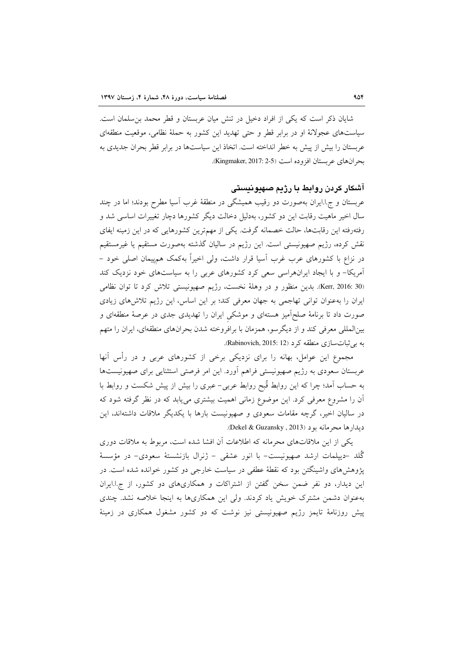شایان ذکر است که یکی از افراد دخیل در تنش میان عربستان و قطر محمد بن سلمان است. سیاستهای عجولانهٔ او در برابر قطر و حتی تهدید این کشور به حملهٔ نظامی، موقعیت منطقهای عربستان را بیش از پیش به خطر انداخته است. اتخاذ این سیاستها در برابر قطر بحران جدیدی به بحرانهاي عربستان افزوده است (Kingmaker, 2017: 2-5).

#### آشکار کردن روابط با رژیم صهیونیستی

عربستان و ج.ا.ایران بهصورت دو رقیب همیشگی در منطقهٔ غرب آسیا مطرح بودند؛ اما در چند سال اخیر ماهیت رقابت این دو کشور، بهدلیل دخالت دیگر کشورها دچار تغییرات اساسی شد و رفتهرفته این رقابتها، حالت خصمانه گرفت. یکی از مهمترین کشورهایی که در این زمینه ایفای نقش كرده، رژيم صهيونيستي است. اين رژيم در ساليان گذشته بهصورت مستقيم يا غيرمستقيم در نزاع با کشورهای عرب غرب آسیا قرار داشت، ولی اخیراً بهکمک همپیمان اصلی خود – آمریکا– و با ایجاد ایرانهراسی سعی کرد کشورهای عربی را به سیاستهای خود نزدیک کند (Kerr, 2016: 30). بدين منظور و در وهلة نخست، رژيم صهيونيستي تلاش كرد تا توان نظامي ایران را بهعنوان توانی تهاجمی به جهان معرفی کند؛ بر این اساس، این رژیم تلاشهای زیادی صورت داد تا برنامهٔ صلحاًمیز هستهای و موشکی ایران را تهدیدی جدی در عرصهٔ منطقهای و بینالمللی معرفی کند و از دیگرسو، همزمان با برافروخته شدن بحرانهای منطقهای، ایران را متهم به بي ثبات سازي منطقه كرد (Rabinovich, 2015: 12).

مجموع این عوامل، بهانه را برای نزدیکی برخی از کشورهای عربی و در رأس آنها عربستان سعودی به رژیم صهیونیستی فراهم آورد. این امر فرصتی استثنایی برای صهیونیستها به حساب آمد؛ چرا که این روابط قُبح روابط عربی– عبری را بیش از پیش شکست و روابط با آن را مشروع معرفی کرد. این موضوع زمانی اهمیت بیشتری می یابد که در نظر گرفته شود که در سالیان اخیر، گرچه مقامات سعودی و صهیونیست بارها با یکدیگر ملاقات داشتهاند، این ديدارها محرمانه بود (Dekel & Guzansky, 2013).

یکی از این ملاقاتهای محرمانه که اطلاعات آن افشا شده است، مربوط به ملاقات دوری گُلد –دييلمات ارشد صهيونيست– با انور عشقى – ژنرال بازنشستهٔ سعودي– در مؤسسهٔ یژوهش های واشینگتن بود که نقطهٔ عطفی در سیاست خارجی دو کشور خوانده شده است. در این دیدار، دو نفر ضمن سخن گفتن از اشتراکات و همکاریهای دو کشور، از ج.ا.ایران بهعنوان دشمن مشترک خویش یاد کردند. ولی این همکاریها به اینجا خلاصه نشد. چندی پیش روزنامهٔ تایمز رژیم صهیونیستی نیز نوشت که دو کشور مشغول همکاری در زمینهٔ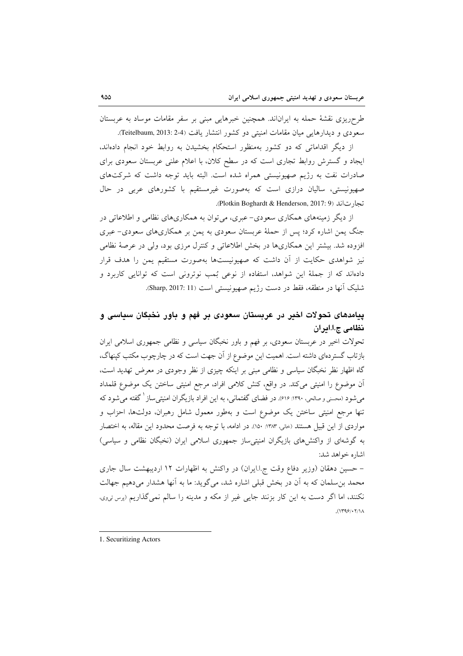طر حریزی نقشهٔ حمله به ایراناند. همچنین خبرهایی مبنی بر سفر مقامات موساد به عربستان سعودي و ديدارهايي ميان مقامات امنيتي دو كشور انتشار يافت (Teitelbaum, 2013: 2-4.

از دیگر اقداماتی که دو کشور بهمنظور استحکام بخشیدن به روابط خود انجام دادهاند، ایجاد و گسترش روابط تجاری است که در سطح کلان، با اعلام علنی عربستان سعودی برای صادرات نفت به رژیم صهیونیستی همراه شده است. البته باید توجه داشت که شرکتهای صهیونیستی، سالیان درازی است که بهصورت غیرمستقیم با کشورهای عربی در حال تجارت اند (Plotkin Boghardt & Henderson, 2017: 9).

از دیگر زمینههای همکاری سعودی– عبری، می توان به همکاریهای نظامی و اطلاعاتی در جنگ یمن اشاره کرد؛ پس از حملهٔ عربستان سعودی به یمن بر همکاریهای سعودی– عبری افزوده شد. بیشتر این همکاریها در بخش اطلاعاتی و کنترل مرزی بود، ولی در عرصهٔ نظامی نیز شواهدی حکایت از آن داشت که صهیونیستها بهصورت مستقیم یمن را هدف قرار دادهاند که از جملهٔ این شواهد، استفاده از نوعی بُمب نوترونی است که توانایی کاربرد و شليک آنها در منطقه، فقط در دست رژيم صهيونيستي است (Sharp, 2017: 11).

## پیامدهای تحولات اخیر در عربستان سعودی بر فهم و باور نخبگان سیاسی و نظامی ج.ا.ادران

تحولات اخیر در عربستان سعودی، بر فهم و باور نخبگان سیاسی و نظامی جمهوری اسلامی ایران بازتاب گستردهای داشته است. اهمیت این موضوع از آن جهت است که در چارچوب مکتب کینهاگ، گاه اظهار نظر نخبگان سیاسی و نظامی مبنی بر اینکه چیزی از نظر وجودی در معرض تهدید است، آن موضوع را امنیتی میکند. در واقع، کنش کلامی افراد، مرجع امنیتی ساختن یک موضوع قلمداد می شود (محسنی و صالحی، ۱۳۹۰: ۶۱۶). در فضای گفتمانی، به این افراد بازیگران امنیتی ساز <sup>۱</sup> گفته می شود که تنها مرجع امنیتی ساختن یک موضوع است و بهطور معمول شامل رهبران، دولتها، احزاب و مواردي از اين قبيل هستند (خاني، ١٣٨٣: ١٥٠). در ادامه، با توجه به فرصت محدود اين مقاله، به اختصار به گوشهای از واکنش های بازیگران امنیتی ساز جمهوری اسلامی ایران (نخبگان نظامی و سیاسی) اشاره خواهد شد:

– حسین دهقان (وزیر دفاع وقت ج.ا.ایران) در واکنش به اظهارات ١٢ اردیبهشت سال جاری محمد بن سلمان که به آن در بخش قبلی اشاره شد، میگوید: ما به آنها هشدار میدهیم جهالت نکنند، اما اگر دست به این کار بزنند جایی غیر از مکه و مدینه را سالم نمی گذاریم (پرس تیږی،  $(1799/17/1)$ 

<sup>1.</sup> Securitizing Actors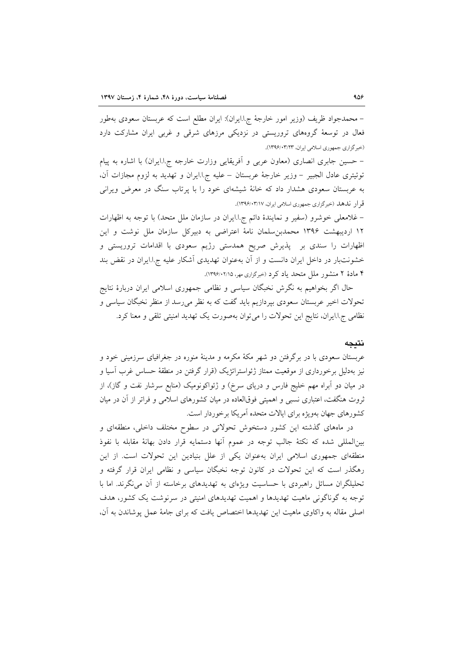– محمدجواد ظریف (وزیر امور خارجهٔ ج!ایران): ایران مطلع است که عربستان سعودی بهطور فعال در توسعهٔ گروههای تروریستی در نزدیکی مرزهای شرقی و غربی ایران مشارکت دارد (خبر گزاری جمهوری اسلامی ایران، ۱۳۹۶/۰۳/۲۳).

– حسین جابری انصاری (معاون عربی و آفریقایی وزارت خارجه ج.ا.ایران) با اشاره به پیام توئيتري عادل الجبير - وزير خارجة عربستان – عليه ج! ايران و تهديد به لزوم مجازات آن، به عربستان سعودی هشدار داد که خانهٔ شیشهای خود را با پرتاب سنگ در معرض ویرانی قر ار ندهد (خبرگزاری جمهوری اسلامی ایران، ۱۳۹۶/۰۳/۱۷).

– غلامعلی خوشرو (سفیر و نمایندهٔ دائم ج.ا.ایران در سازمان ملل متحد) با توجه به اظهارات ١٢ ارديبهشت ١٣٩۶ محمدبن سلمان نامهٔ اعتراضي به دبيركل سازمان ملل نوشت و اين اظهارات را سندی بر پذیرش صریح همدستی رژیم سعودی با اقدامات تروریستی و خشونتبار در داخل ایران دانست و از آن بهعنوان تهدیدی آشکار علیه ج.ا.ایران در نقض بند ۴ مادهٔ ۲ منشور ملل متحد یاد کرد (خبرگزاری مهر، ۱۳۹۶/۰۲/۱۵).

حال اگر بخواهیم به نگرش نخبگان سیاسی و نظامی جمهوری اسلامی ایران دربارهٔ نتایج تحولات اخیر عربستان سعودی بیردازیم باید گفت که به نظر میرسد از منظر نخبگان سیاسی و نظامی ج.ا.ایران، نتایج این تحولات را می توان بهصورت یک تهدید امنیتی تلقی و معنا کرد.

#### نتىحە

عربستان سعودی با در برگرفتن دو شهر مکهٔ مکرمه و مدینهٔ منوره در جغرافیای سرزمینی خود و نیز بهدلیل برخورداری از موقعیت ممتاز ژئواستراتژیک (قرار گرفتن در منطقهٔ حساس غرب آسیا و در میان دو اَبراه مهم خلیج فارس و دریای سرخ) و ژئواکونومیک (منابع سرشار نفت و گاز)، از ثروت هنگفت، اعتباری نسبی و اهمیتی فوقالعاده در میان کشورهای اسلامی و فراتر از آن در میان کشورهای جهان بهویژه برای ایالات متحده آمریکا برخوردار است.

در ماههای گذشته این کشور دستخوش تحولاتی در سطوح مختلف داخلی، منطقهای و بینالمللی شده که نکتهٔ جالب توجه در عموم آنها دستمایه قرار دادن بهانهٔ مقابله با نفوذ منطقهای جمهوری اسلامی ایران بهعنوان یکی از علل بنیادین این تحولات است. از این رهگذر است که این تحولات در کانون توجه نخبگان سیاسی و نظامی ایران قرار گرفته و تحلیلگران مسائل راهبردی با حساسیت ویژهای به تهدیدهای برخاسته از آن می نگرند. اما با توجه به گوناگونی ماهیت تهدیدها و اهمیت تهدیدهای امنیتی در سرنوشت یک کشور، هدف اصلی مقاله به واکاوی ماهیت این تهدیدها اختصاص یافت که برای جامهٔ عمل پوشاندن به آن،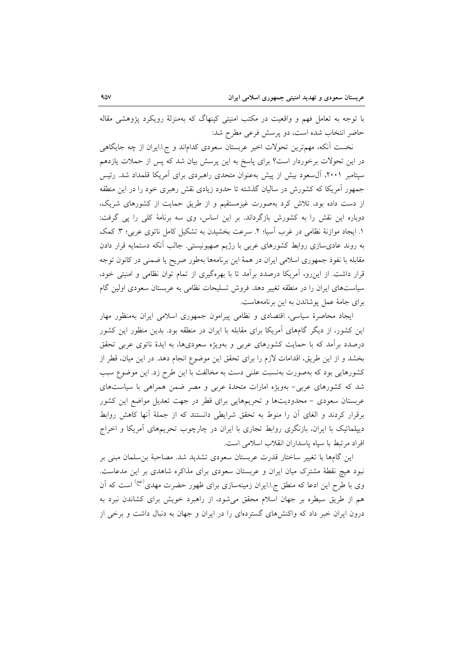با توجه به تعامل فهم و واقعیت در مکتب امنیتی کینهاگ که بهمنزلهٔ رویکرد پژوهشی مقاله حاضر انتخاب شده است، دو پرسش فرعی مطرح شد:

نخست آنکه، مهمترین تحولات اخیر عربستان سعودی کداماند و ج.ا.ایران از چه جایگاهی در این تحولات برخوردار است؟ برای پاسخ به این پرسش بیان شد که پس از حملات یازدهم سپتامبر ۲۰۰۱، آل سعود بیش از پیش به عنوان متحدی راهبردی برای آمریکا قلمداد شد. رئیس جمهور آمریکا که کشورش در سالیان گذشته تا حدود زیادی نقش رهبری خود را در این منطقه از دست داده بود، تلاش کرد بهصورت غیرمستقیم و از طریق حمایت از کشورهای شریک، دوباره این نقش را به کشورش بازگرداند. بر این اساس، وی سه برنامهٔ کلی را پی گرفت: ١. ايجاد موازنهٔ نظامي در غرب اسيا؛ ٢. سرعت بخشيدن به تشكيل كامل ناتوي عربي؛ ٣. كمك به روند عادیٍسازی روابط کشورهای عربی با رژیم صهیونیستی. جالب آنکه دستمایه قرار دادن مقابله با نفوذ جمهوري اسلامي ايران در همهٔ اين برنامهها بهطور صريح يا ضمني در كانون توجه قرار داشت. از این٫و، اَمریکا درصدد براَمد تا با بهرهگیری از تمام توان نظامی و امنیتی خود، سیاستهای ایران را در منطقه تغییر دهد. فروش تسلیحات نظامی به عربستان سعودی اولین گام براي جامهٔ عمل پوشاندن به اين برنامههاست.

ایجاد محاصرهٔ سیاسی، اقتصادی و نظامی پیرامون جمهوری اسلامی ایران بهمنظور مهار این کشور، از دیگر گامهای آمریکا برای مقابله با ایران در منطقه بود. بدین منظور این کشور درصدد برآمد که با حمایت کشورهای عربی و بهویژه سعودیها، به ایدهٔ ناتوی عربی تحقق بخشد و از این طریق، اقدامات لازم را برای تحقق این موضوع انجام دهد. در این میان، قطر از کشورهایی بود که بهصورت بهنسبت علنی دست به مخالفت با این طرح زد. این موضوع سبب شد که کشورهای عربی- بهویژه امارات متحدهٔ عربی و مصر ضمن همراهی با سیاستهای عربستان سعودی – محدودیتها و تحریمهایی برای قطر در جهت تعدیل مواضع این کشور برقرار كردند و الغاي آن را منوط به تحقق شرايطي دانستند كه از جملهٔ آنها كاهش روابط دیپلماتیک با ایران، بازنگری روابط تجاری با ایران در چارچوب تحریمهای آمریکا و اخراج افراد مرتبط با سياه ياسداران انقلاب اسلامي است.

این گامها با تغییر ساختار قدرت عربستان سعودی تشدید شد. مصاحبهٔ بنسلمان مبنی بر نبود هیچ نقطهٔ مشترک میان ایران و عربستان سعودی برای مذاکره شاهدی بر این مدعاست. وی با طرح این ادعا که منطق ج.ا.ایران زمینهسازی برای ظهور حضرت مهدی<sup>(عج)</sup> است که آن هم از طریق سیطره بر جهان اسلام محقق میشود، از راهبرد خویش برای کشاندن نبرد به درون ایران خبر داد که واکنشهای گستردهای را در ایران و جهان به دنبال داشت و برخی از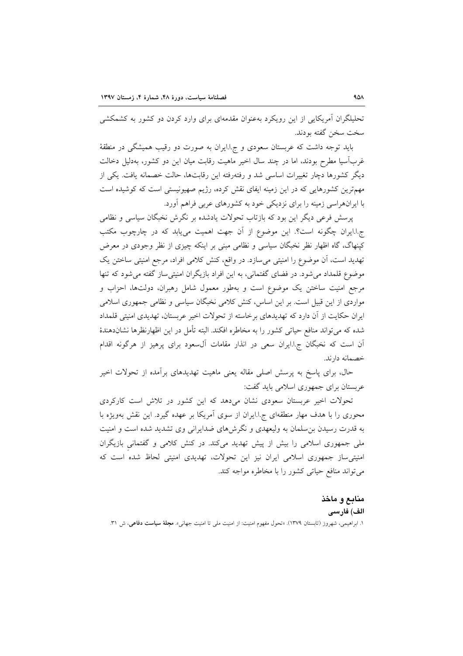تحلیلگران آمریکایی از این رویکرد بهعنوان مقدمهای برای وارد کردن دو کشور به کشمکشی سخت سخن گفته بودند.

باید توجه داشت که عربستان سعودی و ج!ایران به صورت دو رقیب همیشگی در منطقهٔ غربآسیا مطرح بودند، اما در چند سال اخیر ماهیت رقابت میان این دو کشور، بهدلیل دخالت دیگر کشورها دچار تغییرات اساسی شد و رفتهرفته این رقابتها، حالت خصمانه یافت. یکی از مهمترین کشورهایی که در این زمینه ایفای نقش کرده، رژیم صهیونیستی است که کوشیده است با ایرانهراسی زمینه را برای نزدیکی خود به کشورهای عربی فراهم آورد.

یرسش فرعی دیگر این بود که بازتاب تحولات یادشده بر نگرش نخبگان سیاسی و نظامی ج.ا.ایران چگونه است؟. این موضوع از آن جهت اهمیت میbبابد که در چارچوب مکتب کینهاگ، گاه اظهار نظر نخبگان سیاسی و نظامی مبنی بر اینکه چیزی از نظر وجودی در معرض تهدید است، آن موضوع را امنیتی می سازد. در واقع، کنش کلامی افراد، مرجع امنیتی ساختن یک موضوع قلمداد می شود. در فضای گفتمانی، به این افراد بازیگران امنیتی ساز گفته می شود که تنها مرجع امنیت ساختن یک موضوع است و بهطور معمول شامل رهبران، دولتها، احزاب و مواردی از این قبیل است. بر این اساس، کنش کلامی نخبگان سیاسی و نظامی جمهوری اسلامی ایران حکایت از آن دارد که تهدیدهای برخاسته از تحولات اخیر عربستان، تهدیدی امنیتی قلمداد شده که می تواند منافع حیاتی کشور را به مخاطره افکند. البته تأمل در این اظهارنظرها نشاندهندهٔ آن است که نخبگان ج.ا.ایران سعی در انذار مقامات آل سعود برای پرهیز از هرگونه اقدام خصمانه دارند.

حال، برای پاسخ به پرسش اصلی مقاله یعنی ماهیت تهدیدهای برآمده از تحولات اخیر عربستان برای جمهوری اسلامی باید گفت:

تحولات اخیر عربستان سعودی نشان میدهد که این کشور در تلاش است کارکردی محوری را با هدف مهار منطقهای ج.ا.ایران از سوی آمریکا بر عهده گیرد. این نقش بهویژه با به قدرت رسیدن بن سلمان به ولیعهدی و نگرشهای ضدایرانی وی تشدید شده است و امنیت ملی جمهوری اسلامی را بیش از پیش تهدید میکند. در کنش کلامی و گفتمانی بازیگران امنیتی ساز جمهوری اسلامی ایران نیز این تحولات، تهدیدی امنیتی لحاظ شده است که مي تواند منافع حياتي كشور را با مخاطره مواجه كند.

## منابع و ماخذ الف) فارسى

۱. ابراهیمی، شهروز (تابستان ۱۳۷۹). «تحول مفهوم امنیت: از امنیت مل<sub>ی</sub> تا امنیت جهانی». م**جلهٔ سیاست دفاعی**، ش ۳۱.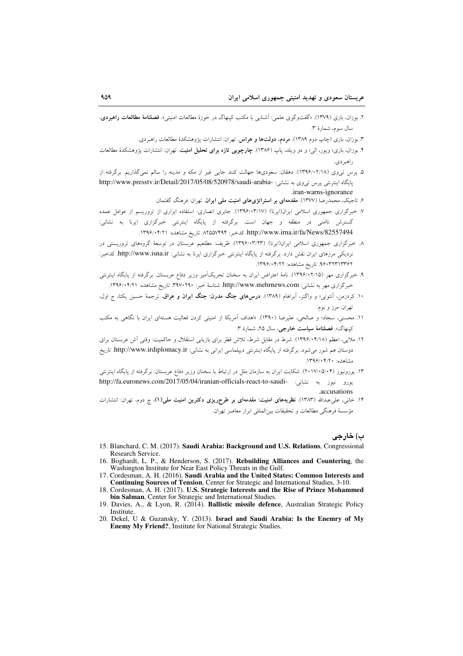- ۲. بوزان، باری (۱۳۷۹). «گفتوگوی علمی: آشنایی با مکتب کینهاگ در حوزهٔ مطالعات امنیتی». فصلنامهٔ مطالعات راهبردی، سال سوم، شمارة ٣.
	- ۳. بوزان، باری (چاپ دوم ۱۳۸۹). **مردم، دولتها و هراس**. تهران: انتشارات پژوهشکدهٔ مطالعات راهبردی.
- ۴. بوزان، باری؛ ویور، الی؛ و دو ویلد، پاپ (۱۳۸۶). **چارچوبی تازه برای تحلیل امنیت**. تهران: انتشارات پژوهشکدهٔ مطالعات راهد دی.
- ۵. پرس تبیوی (۱۲۹۶/۰۲/۱۸). دهقان: سعودیها جهالت کنند جایبی غیر از مکه و مدینه را سالم نمیگذاریم. برگرفته از پایگاه اینترنتی پرس تی وی به نشانی: -http://www.presstv.ir/Detail/2017/05/08/520978/saudi-arabia .iran-warns-ignorance
	- ۶. تاجیک، محمدرضا (۱۳۷۷). <mark>مقدمهای بر استراتژیهای امنیت مل<sub>ی</sub> ایران</mark>. تهران: فرهنگ گفتمان.
- ۷. خبرگزاری جمهوری اسلامی ایران(ایرنا) (۱۳۹۶/۰۳/۱۷). جابری انصاری: استفاده ابزاری از تروریسم از عوامل عمده گسترش ناامنی در منطقه و جهان است. برگرفته از پایگاه اینترنتی خبرگزاری ایرنا به نشانی: http://www.irna.ir/fa/News/82557494. كدخير: ٨٢٥٥٧۴٩۴ تاريخ مشاهده: ١٣٩۶/٠۴/٢١.
- ۸. خبرگزاری جمهوری اسلامی ایران(ایرنا) (۱۳۹۶/۰۳/۲۳). ظریف: مطلعیم عربستان در توسعهٔ گروههای تروریستی در نزدیکی مرزهای ایران نقش دارد. برگرفته از پایگاه اینترنتی خبرگزاری ایرنا به نشانی: http://www.isna.ir کدخبر: ۹۶۰۳۲۳۱۳۳۶۲. تاریخ مشاهده: ۱۳۹۶/۰۴/۲۲.
- ۹. خبرگزاری مهر (۱۲۹۶/۰۲/۱۵). نامهٔ اعتراض ایران به سخنان تحریکآمیز وزیر دفاع عربستان. برگرفته از پایگاه اینترنتی خبر گزاری مهر به نشانی: http://www.mehrnews.com. شناسهٔ خبر: ۳۹۷۰۲۹۰. تاریخ مشاهده: ۱۳۹۶/۰۴/۲۱.
- ۱۰. کردزمن، آنتونی؛ و واگنر، آبراهام (۱۳۸۹). **درسهای جنگ مدرن: جنگ ایران و عراق**، ترجمهٔ حسین یکتا، ج اول، تهران: مرز و بوم.
- ۱۱. محسنی، سجاد؛ و صالحی، علیرضا (۱۳۹۰). «اهداف اَمریکا از امنیتی کردن فعالیت هستهای ایران با نگاهی به مکتب كينهاگ». فصلنامة سياست خارجي، سال ٢۵، شمارة ٣.
- ۱۲. ملایی، اعظم (۱۳۹۶/۰۴/۱۸). شرط در مقابل شرط، تلاش قطر برای بازیابی استقلال و حاکمیت: وقتی آش عربستان برای دوستان هم شور می شود. برگرفته از پایگاه اینترنتی دیپلماسی ایرانی به نشانی: http://www.irdiplomacy.ir تاریخ مشاهده: ۱۳۹۶/۰۴/۲۰.
- ۱۳. یورونیوز (۲۰۱۷/۰۵/۰۴). شکایت ایران به سازمان ملل در ارتباط با سخنان وزیر دفاع عربستان. برگرفته از پایگاه اینترنتی يورو نيوز به نشاني: -http://fa.euronews.com/2017/05/04/iranian-officials-react-to-saudi .accusations
- ۱۴. خانبی، علی عبدالله (۱۳۸۳). نظریههای امنیت: مقدمهای بر طرحریزی دکترین امنیت مل<sub>ی</sub>(۱)، چ دوم، تهران: انتشارات مؤسسة فرهنگي مطالعات و تحقيقات بين|لمللي ابرار معاصر تهران.

ب) خارجي

- 15. Blanchard, C. M. (2017). Saudi Arabia: Background and U.S. Relations, Congressional Research Service.
- 16. Boghardt, L. P., & Henderson, S. (2017). Rebuilding Alliances and Countering, the Washington Institute for Near East Policy Threats in the Gulf.
- 17. Cordesman, A. H. (2016). Saudi Arabia and the United States: Common Interests and Continuing Sources of Tension, Center for Strategic and International Studies, 3-10.
- 18. Cordesman, A. H. (2017). U.S. Strategic Interests and the Rise of Prince Mohammed bin Salman, Center for Strategic and International Studies.
- 19. Davies, A., & Lyon, R. (2014). Ballistic missile defence, Australian Strategic Policy **Institute**
- 20. Dekel, U & Guzansky, Y. (2013). Israel and Saudi Arabia: Is the Enemry of My **Enemy My Friend?**, Institute for National Strategic Studies.